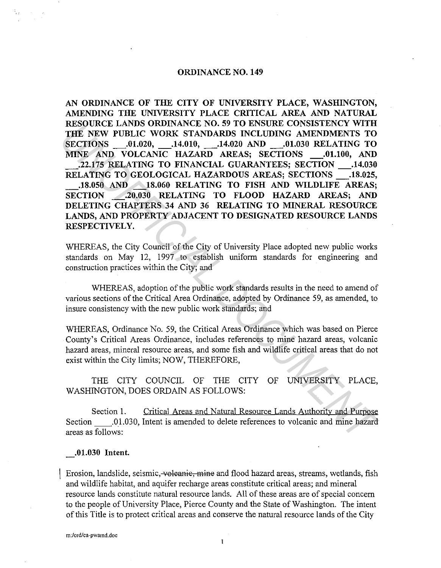### **ORDINANCE NO. 149**

**AN ORDINANCE OF THE CITY OF UNIVERSITY PLACE, WASHINGTON, AMENDING THE UNIVERSITY PLACE CRITICAL AREA AND NATURAL RESOURCE LANDS ORDINANCE NO. 59 TO ENSURE CONSISTENCY WITH THE NEW PUBLIC WORK STANDARDS INCLUDING AMENDMENTS TO SECTIONS .01.020, .14.010, .14.020 AND .01.030 RELATING TO MINE AND VOLCANIC HAZARD AREAS; SECTIONS .01.100, AND \_.22.175 RELATING TO FINANCIAL GUARANTEES; SECTION \_.14.030 RELATING TO GEOLOGICAL HAZARDOUS AREAS; SECTIONS \_.18.025, \_.18.050 AND \_18.060 RELATING TO FISH AND WILDLIFE AREAS; SECTION \_.20.030 RELATING TO FLOOD HAZARD AREAS; AND DELETING CHAPTERS 34 AND 36 RELATING TO MINERAL RESOURCE LANDS, AND PROPERTY ADJACENT TO DESIGNATED RESOURCE LANDS RESPECTIVELY. EXENTIONS SOLUTION ANDENGAL DEATERS AND PRODUCT ON THE NEW PUBLIC WORK STANDARDS INCLUDING AMENDMENTS TO SECTIONS**<br> **SECTIONS** - 0.1.400 AND NOLCANTC HAZARD AREAS; SECTIONS - 0.1.100, AND<br> **THE NEW PUBLIC WORK STANDARDS I** 

WHEREAS, the City Council of the City of University Place adopted new public works standards on May 12, 1997 to establish uniform standards for engineering and construction practices within the City; and

WHEREAS, adoption of the public work standards results in the need to amend of various sections of the Critical Area Ordinance, adopted by Ordinance 59, as amended, to insure consistency with the new public work standards; and

WHEREAS, Ordinance No. 59, the Critical Areas Ordinance which was based on Pierce County's Critical Areas Ordinance, includes references to mine hazard areas, volcanic hazard areas, mineral resource areas, and some fish and wildlife critical areas that do not exist within the City limits; NOW, THEREFORE,

# THE CITY COUNCIL OF THE CITY OF UNIVERSITY PLACE, WASHINGTON, DOES ORDAIN AS FOLLOWS:

Section I. Critical Areas and Natural Resource Lands Authority and Purpose Section .01.030, Intent is amended to delete references to volcanic and mine hazard areas as follows:

**.01.030 Intent.** 

Erosion, landslide, seismic, voleanic, mine and flood hazard areas, streams, wetlands, fish and wildlife habitat, and aquifer recharge areas constitute critical areas; and mineral resource lands constitute natural resource lands. All of these areas are of special concern to the people of University Place, Pierce County and the State of Washington. The intent of this Title is to protect critical areas and conserve the natural resource lands of the City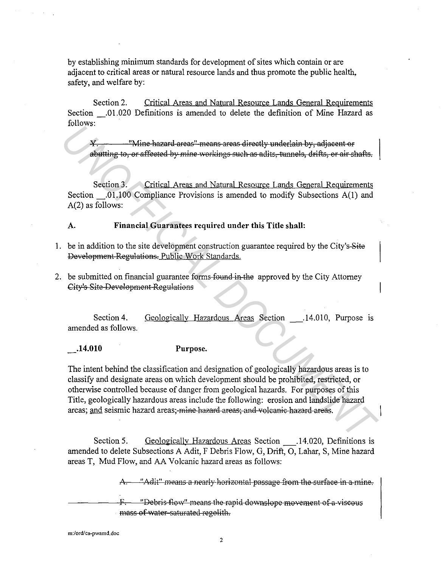by establishing minimum standards for development of sites which contain or are adjacent to critical areas or natural resource lands and thus promote the public health, safety, and welfare by:

Section 2. Critical Areas and Natural Resource Lands General Requirements Section \_.01.020 Definitions is amended to delete the definition of Mine Hazard as follows:

Wine hazard areas" means areas directly underlain by, adjacent or! abutting to, or affected by mine workings such as adits, tunnels, drifts, or air shafts.

Section 3. Critical Areas and Natural Resource Lands General Requirements Section .01.100 Compliance Provisions is amended to modify Subsections A(1) and A(2) as follows:

## A. **Financial Guarantees required under this Title shall:**

- 1. be in addition to the site development construction guarantee required by the City's-Site Development Regulations. Public Work Standards.
- 2. be submitted on financial guarantee forms found in the approved by the City Attorney City's Site Development Regulations

Section 4. amended as follows. Geologically Hazardous Areas Section .14.010, Purpose is

**\_.14.010 Purpose.** 

The intent behind the classification and designation of geologically hazardous areas is to classify and designate areas on which development should be prohibited, restricted, or otherwise controlled because of danger from geological hazards. For purposes of this Title, geologically hazardous areas include the following: erosion and landslide hazard areas; and seismic hazard areas; mine hazard areas; and volcanic hazard areas. *The hazard areas<sup>-1</sup> means areas directly underlain by, adjacent or<br> Abstrains to, or affected by mine workings such as adiist, tunnels, dirths, or air shafts,<br>
Section 3. Critical Areas and Natural Resource Lands Gener* 

Section 5. Geologically Hazardous Areas Section .14.020, Definitions is amended to delete Subsections A Adit, F Debris Flow, G, Drift, 0, Lahar, S, Mine hazard areas T, Mud Flow, and AA Volcanic hazard areas as follows:

"Adit" means a nearly horizontal passage from the surface in a mine.

"Debris flow" means the rapid downslope movement of a viscous mass of water-saturated regolith.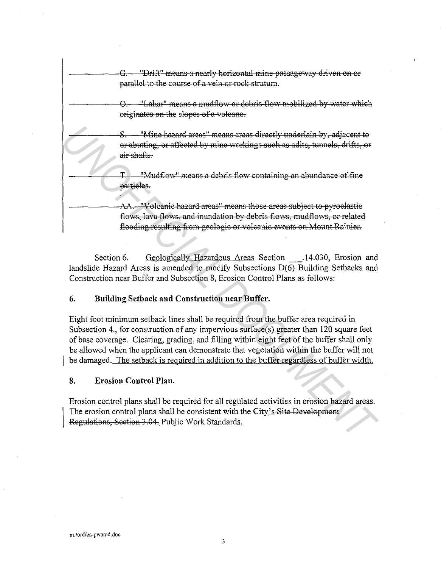"Drift" means a nearly horizontal mine passageway driven on or parallel to the course ef a vein or rock stratum. "Lahar" means a mudflow or debris flow mobilized by water which originates on the slopes of a volcano. "Mine hazard areas" means areas directly underlain by, adjacent to or abutting, or affected by mine workings such as adits, tunnels, drifts, or air shafts. T. Thu dflow" means a debris flow containing an abundance of fine particles. "Volcanic hazard areas" means those areas subject to pyroclastic flows, lava flows, and inundation by debris flows, mudflows, or related floodiag resalting from geologic or volcanic events en Mount Rainier. *S*<br> **Example 1.4 Wellet the control or any standard areas** and the contring or alite, then<br> **Example 2.** The shall on the shall on the mass a debris flow containing an abundance of fine<br> **PETION TO THE THE CONTAINS TO T** 

Section 6. Geologically Hazardous Areas Section 14.030, Erosion and landslide Hazard Areas is amended to modify Subsections D(6) Building Setbacks and Construction near Buffer and Subsection 8, Erosion Control Plans as follows:

# **6. Building Setback and Construction near Buffer.**

Eight foot minimum setback lines shall be required from the buffer area required in Subsection 4., for construction of any impervious surface(s) greater than 120 square feet of base coverage. Clearing, grading, and filling within eight feet of the buffer shall only be allowed when the applicant can demonstrate that vegetation within the buffer will not be damaged. The setback is required in addition to the buffer regardless of buffer width.

# **8. Erosion Control Plan.**

Erosion control plans shall be required for all regulated activities in erosion hazard areas. The erosion control plans shall be consistent with the City's Site Development Regulations, Section 3.04. Public Work Standards.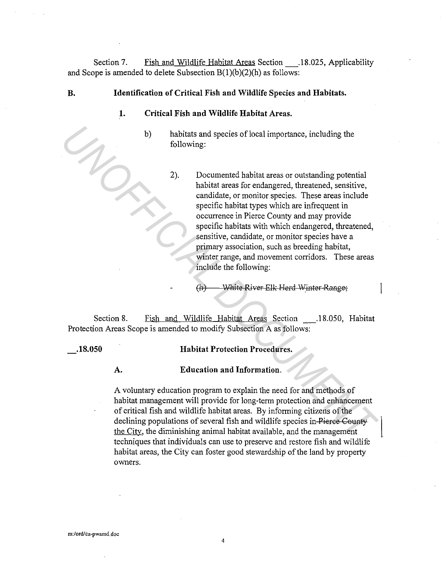Section 7. Fish and Wildlife Habitat Areas Section 18.025, Applicability and Scope is amended to delete Subsection  $B(1)(b)(2)(h)$  as follows:

- **B. Identification of Critical Fish and Wildlife Species and Habitats.** 
	- **1. Critical Fish and Wildlife Habitat Areas.** 
		- b) habitats and species of local importance, including the following:
- 2). Documented habitat areas or outstanding potential habitat areas for endangered, threatened, sensitive, candidate, or monitor species. These areas include specific habitat types which are infrequent in occurrence in Pierce County and may provide specific habitats with which endangered, threatened, sensitive, candidate, or monitor species have a primary association, such as breeding habitat, winter range, and movement corridors. These areas include the following: b) habitats and species of iocal importance, including the<br>following:<br>following:<br>2). Documented habitat areas or outstanding potential<br>habitat areas for ending<br>servich servicity equalidations are the specific habitat type

(h) White River Elk Herd Winter Range;

Section 8. Fish and Wildlife Habitat Areas Section \_\_\_. 18.050, Habitat Protection Areas Scope is amended to modify Subsection A as follows:

**.18.050 Habitat Protection Procedures.** 

# **A. Education and Information.**

A voluntary education program to explain the need for and methods of habitat management will provide for long-term protection and enhancement of critical fish and wildlife habitat areas. By informing citizens of the declining populations of several fish and wildlife species in Pierce County the City, the diminishing animal habitat available, and the management techniques that individuals can use to preserve and restore fish and wildlife habitat areas, the City can foster good stewardship of the land by property owners.

4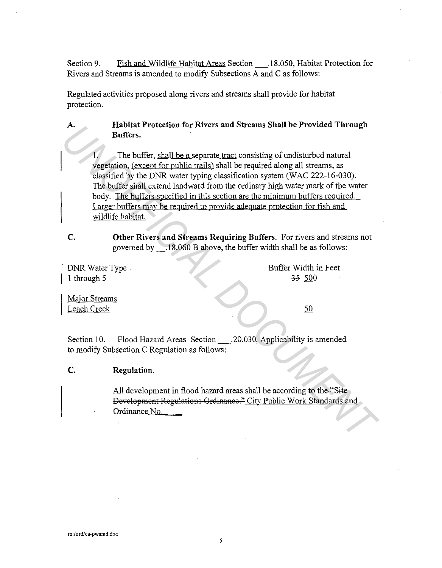Section 9. Fish and Wildlife Habitat Areas Section\_.18.050, Habitat Protection for Rivers and Streams is amended to modify Subsections A and C as follows:

Regulated activities proposed along rivers and streams shall provide for habitat protection.

> **Habitat Protection for Rivers and Streams Shall be Provided Through Buffers.**

1. The buffer, shall be a separate tract consisting of undisturbed natural vegetation, (except for public trails) shall be required along all streams, as classified by the DNR water typing classification system (WAC 222-16-030). The buffer shall extend landward from the ordinary high water mark of the water body. The buffers specified in this section are the minimum buffers required. Larger buffers may be required to provide adequate protection for fish and wildlife habitat. **EXECUTE THE SET AND INSURATE AND THE SET AND IN THE SET AND THE SET AND THE SET AND THE SET AND THE UNITED SET AND THE DUTIES SET AND THE DUTIES SET AND THE DUTIES SET (INCLUSIBLY AND THE DUTIES SECTION THE DUTIES SECTION** 

**c. Other Rivers and Streams Requiring Buffers.** For rivers and streams not governed by \_.18.060 B above, the buffer width shall be as follows:

DNR Water Type. 1 through 5

Buffer Width in Feet ~ 500

Major Streams Leach Creek

**A.** 

Section 10. Flood Hazard Areas Section\_.20.030, Applicability is amended to modify Subsection C Regulation as follows:

# **c. Regulation.**

All development in flood hazard areas shall be according to the "Site Development Regulations Ordinanee." Citv Public Work Standards and Ordinance No.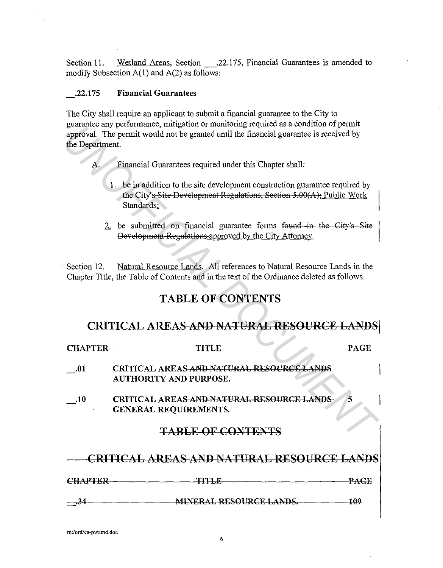Section 11. Wetland Areas, Section .22.175, Financial Guarantees is amended to modify Subsection  $A(1)$  and  $A(2)$  as follows:

# \_.22.175 Financial Guarantees

The City shall require an applicant to submit a financial guarantee to the City to guarantee any performance, mitigation or monitoring required as a condition of permit approval. The permit would not be granted until the financial guarantee is received by the Department.

- A. Financial Guarantees required under this Chapter shall:
	- 1. be in addition to the site development construction guarantee required by the City's Site Development Regulations, Section 5.00(A); Public Work Standards;
	- 2. be submitted on financial guarantee forms found-in the City's Site | Development Regulations approved by the City Attorney.

# TABLE OF CONTENTS

# CRITICAL AREAS AND NATURAL RESOURCE LANDS

| the Department.                           | guarantee any performance, integation of momenting required as a condition of permit<br>approval. The permit would not be granted until the financial guarantee is received by |             |  |  |
|-------------------------------------------|--------------------------------------------------------------------------------------------------------------------------------------------------------------------------------|-------------|--|--|
| A.                                        | Financial Guarantees required under this Chapter shall:                                                                                                                        |             |  |  |
|                                           | 1. be in addition to the site development construction guarantee required by<br>the City's-Site Development-Regulations, Section 5.00(A); Public Work<br>Standards:            |             |  |  |
|                                           | 2. be submitted on financial guarantee forms found in the City's Site<br>Development Regulations approved by the City Attorney.                                                |             |  |  |
| Section 12.                               | Natural Resource Lands. All references to Natural Resource Lands in the<br>Chapter Title, the Table of Contents and in the text of the Ordinance deleted as follows:           |             |  |  |
|                                           | <b>TABLE OF CONTENTS</b>                                                                                                                                                       |             |  |  |
| CRITICAL AREAS AND NATURAL RESOURCE LANDS |                                                                                                                                                                                |             |  |  |
|                                           |                                                                                                                                                                                |             |  |  |
| <b>CHAPTER</b>                            | <b>TITLE</b>                                                                                                                                                                   | <b>PAGE</b> |  |  |
| $\cdot$ .01                               | CRITICAL AREAS-AND-NATURAL RESOURCE LANDS<br><b>AUTHORITY AND PURPOSE.</b>                                                                                                     |             |  |  |
| $\mathbf{.10}$                            | CRITICAL AREAS-AND NATURAL RESOURCE LANDS<br>GENERAL REQUIREMENTS.                                                                                                             | 5           |  |  |
|                                           | <b>TABLE OF CONTENTS</b>                                                                                                                                                       |             |  |  |
|                                           | CRITICAL AREAS AND NATURAL RESOURCE LANDS                                                                                                                                      |             |  |  |
|                                           | CHAPTER PAGE                                                                                                                                                                   |             |  |  |

6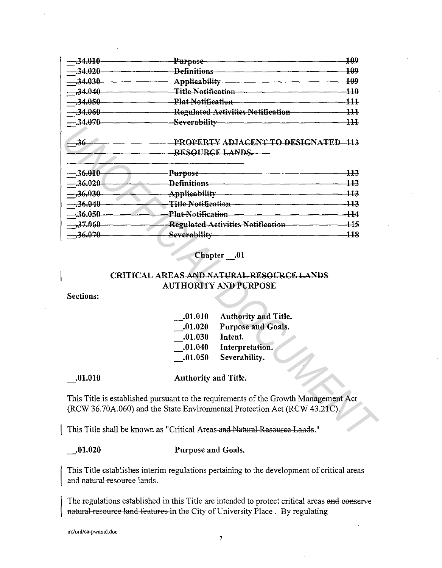| $-34.010$  | <del>Purpose-</del>                                      | 409                                                              |
|------------|----------------------------------------------------------|------------------------------------------------------------------|
| $-.34.020$ | <del>Definitions</del>                                   | 109                                                              |
| $-34.030$  | Applicability                                            | 700                                                              |
| $-34.040$  | <del>Title Notification</del>                            | $\mathbf{\overline{110}}$                                        |
| $-.34.050$ | Plat Notification                                        | $\overline{111}$                                                 |
| $-34.060$  | <b>Regulated Activities Notification</b>                 | $\mathbf{H}% _{t}\left( t\right) =\mathbf{H}_{t}\left( t\right)$ |
| $-34.070$  | Severability                                             | $\bf{111}$                                                       |
| -36        | PROPERTY ADJACENT TO DESIGNATED-113<br>RESOURCE LANDS.-- |                                                                  |
| $-.36.010$ | <del>Purpose</del>                                       | 773                                                              |
| $-.36.020$ | <del>Definitions</del>                                   | 113                                                              |
| $-36.030$  | <b>Applicability</b>                                     | 443                                                              |
| $-.36.040$ | <b>Title Notification</b>                                | $\overline{113}$                                                 |
| $-36.050$  | <b>Plat Notification</b>                                 | 414                                                              |
| $-37.060$  |                                                          |                                                                  |
|            | <b>Regulated Activities Notification</b>                 | $\pm 5$                                                          |

# Chapter .01

# CRITICAL AREAS AND NATURAL RESOURCE LANDS **AUTHORITY AND PURPOSE**

Sections:

| .01.010 | Authority and Title. |
|---------|----------------------|
| .01.020 | Purpose and Goals.   |
| .01.030 | Intent.              |
| .01.040 | Interpretation.      |
| .01.050 | Severability.        |

 $\frac{0.010}{0.010}$ 

Authority and Title.

This Title is established pursuant to the requirements of the Growth Management Act (RCW 36.70A.060) and the State Environmental Protection Act (RCW 43.21C).

This Title shall be known as "Critical Areas and Natural Resource Lands."

 $...01.020$ 

Purpose and Goals.

This Title establishes interim regulations pertaining to the development of critical areas and natural resource lands.

The regulations established in this Title are intended to protect critical areas and conserve natural-resource land-features in the City of University Place. By regulating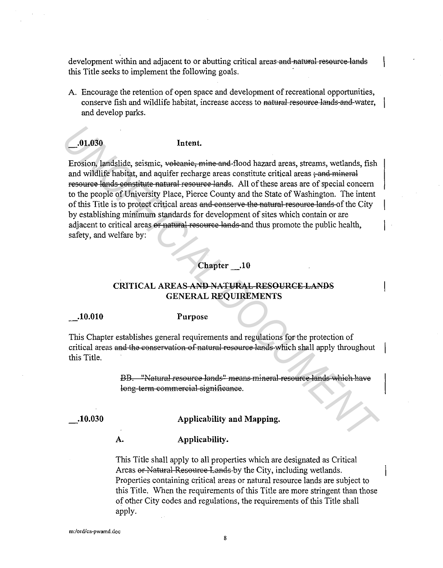development within and adjacent to or abutting critical areas and natural resource lands this Title seeks to implement the following goals.

A. Encourage the retention of open space and development of recreational opportunities, conserve fish and wildlife habitat, increase access to natural resource lands and water, and develop parks.

\_.01.030 Intent.

Erosion, landslide, seismic, veleanie, mine and flood hazard areas, streams, wetlands, fish and wildlife habitat, and aquifer recharge areas constitute critical areas  $\frac{1}{2}$  and mineral resource lands constitute natural resource lands. All of these areas are of special concern to the people of University Place, Pierce County and the State of Washington. The intent of this Title is to protect critical areas and conserve the natural resource lands of the City by establishing minimum standards for development of sites which contain or are adjacent to critical areas or natural resource lands and thus promote the public health, safety, and welfare by: **Let a** Freedom, laterated the seate of the seate of the seate of the seate of the seate of the seate of the seate of the seate of the seate of the seate of the proposed in the seate of the proposed in the seate of the p

# Chapter .10

# CRITICAL AREAS AND NATURAL RESOURCE LANDS GENERAL REQUIREMENTS

.10.010

Purpose

This Chapter establishes general requirements and regulations for the protection of critical areas and the conservation of natural resource lands which shall apply throughout this Title.

> BB. "Natural resource lands" means mineral resource lands which have long term commercial sigaifieanee.

. 10.030

## Applicability and Mapping.

A. Applicability.

This Title shall apply to all properties which are designated as Critical Areas or Natural Resource Lands by the City, including wetlands. Properties containing critical areas or natural resource lands are subject to this Title. When the requirements of this Title are more stringent than those of other City codes and regulations, the requirements of this Title shall apply.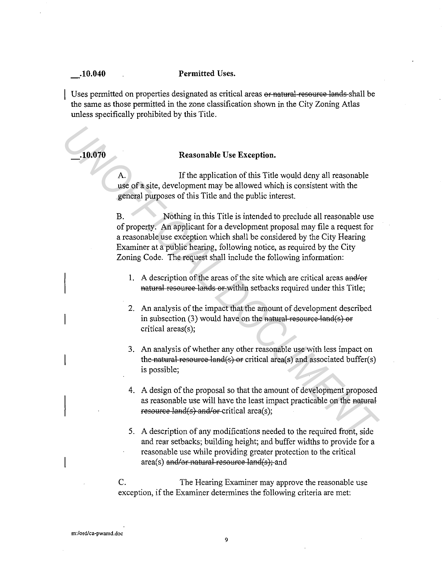#### **. 10.040 Permitted Uses .**

Uses permitted on properties designated as critical areas or natural resource lands shall be the same as those permitted in the zone classification shown in the City Zoning Atlas unless specifically prohibited by this Title.

# **. 10.070 Reasonable Use Exception.**

A. If the application of this Title would deny all reasonable use of a site, development may be allowed which is consistent with the general purposes of this Title and the public interest.

B. Nothing in this Title is intended to preclude all reasonable use of property. An applicant for a development proposal may file a request for a reasonable use exception which shall be considered by the City Hearing Examiner at a public hearing, following notice, as required by the City Zoning Code. The request shall include the following information: **Example Use Exception.**<br> **Example 1998 Charginson Constant Constant Constant Constant Constant Constant Constant Constant Constant Constant Constant Constant Constant Constant Constant Constant Constant Constant Constan** 

- **1.** A description of the areas of the site which are critical areas and/or natural resource lands or within setbacks required under this Title;
- 2. An analysis of the impact that the amount of development described in subsection (3) would have on the natural resource land(s) or critical areas(s);
- 3. An analysis of whether any other reasonable use with less impact on the natural resource land(s) or critical area(s) and associated buffer(s) is possible;
- 4. A design of the proposal so that the amount of development proposed as reasonable use will have the least impact practicable on the natural resource  $land(s)$  and/or-critical area(s);
- 5. A description of any modifications needed to the required front, side and rear setbacks; building height; and buffer widths to provide for a reasonable use while providing greater protection to the critical area(s) and/or natural resource land(s); and

C. The Hearing Examiner may approve the reasonable use exception, if the Examiner determines the following criteria are met: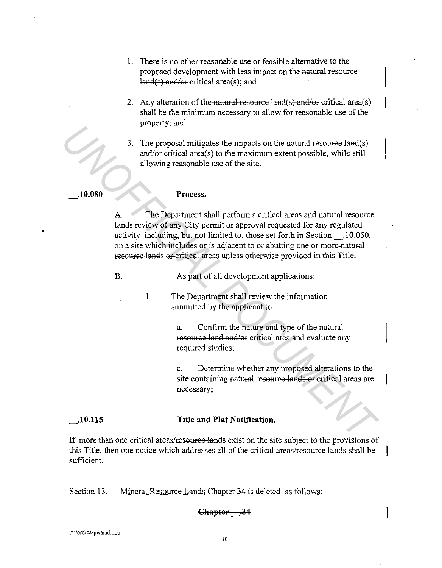- 1. There is no other reasonable use or feasible alternative to the proposed development with less impact on the natural resource  $land(s)$  and/or-critical area(s); and
- 2. Any alteration of the natural resource land(s) and/or critical area(s) shall be the minimum necessary to allow for reasonable use of the property; and
- 3. The proposal mitigates the impacts on the natural resource land(s)  $and/or critical area(s)$  to the maximum extent possible, while still allowing reasonable use of the site.

#### **\_.10.080**

#### **Process.**

A. The Department shall perform a critical areas and natural resource lands review of any City permit or approval requested for any regulated activity including, but not limited to, those set forth in Section \_.10.050, on a site which includes or is adjacent to or abutting one or more nataral resource lands or critical areas unless otherwise provided in this Title. *Property, and*<br>
3. The property manitigates the impacts on the nothinal resource land(e)<br>
and/secritical areas) to the maximum extent possible, while still<br>
allowing reasonable use of the site.<br>
10.080<br> **Process.**<br>
A. Th

B.

As part of all development applications:

1. The Department shall review the information submitted by the applicant to:

> a. Confirm the nature and type of the-naturalresource land and/or critical area and evaluate any required studies;

c. Determine whether any proposed alterations to the site containing natural resource lands or critical areas are necessary;

#### **\_.10.115**

### **Title and Plat Notification.**

If more than one critical areas/resource lands exist on the site subject to the provisions of this Title, then one notice which addresses all of the critical areas/resource lands shall be sufficient.

Section 13. Mineral Resource Lands Chapter 34 is deleted as follows:

### Chapter 34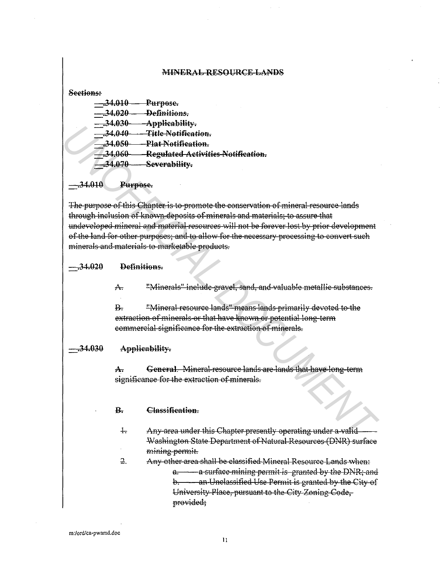#### MINERAL RESOURCE LANDS

#### Sections:

| <del>.34.010</del>  | <del>Purpose.</del>                |
|---------------------|------------------------------------|
| <del>- 34.020</del> | Definitions.                       |
| $-.34.030-$         | Applicability.                     |
| <del>34.040.</del>  | <del>Title Notification.</del>     |
| -34.050             | Plat Notification.                 |
| -34.060             | Regulated Activities Notification. |
| <del>.34.070</del>  | Severability.                      |
|                     |                                    |

Purpose.

The purpose of this Chapter is to promote the conservation of mineral resource lands through inclusion of known deposits of minerals and materials; to assure that undeveloped mineral and material resources will not be forever lost by prior development of the land for other purposes; and to allow for the necessary processing to convert such minerals and materials to marketable products.

#### $-.34.020$ Definitions.

"Minerals" include gravel, sand, and valuable metallic substances.  $A<sub>r</sub>$ 

 $\mathbf{B}$ "Mineral resource lands" means lands primarily devoted to the extraction of minerals or that have known or potential long-term commercial significance for the extraction of minerals.

#### -34.030 Applicability.

General. Mineral resource lands are lands that have long-term  $\mathbf{A}$ significance for the extraction of minerals.

#### Classification  $\mathbf{R}$

- $\frac{1}{2}$ Any area under this Chapter presently operating under a valid Washington State Department of Natural Resources (DNR) surface mining permit.
- $\overline{2}$ . Any other area shall be classified Mineral Resource Lands when: a. - a surface mining permit is granted by the DNR; and b. - an-Unclassified Use Permit is granted by the City of University Place, pursuant to the City Zoning Code, provided;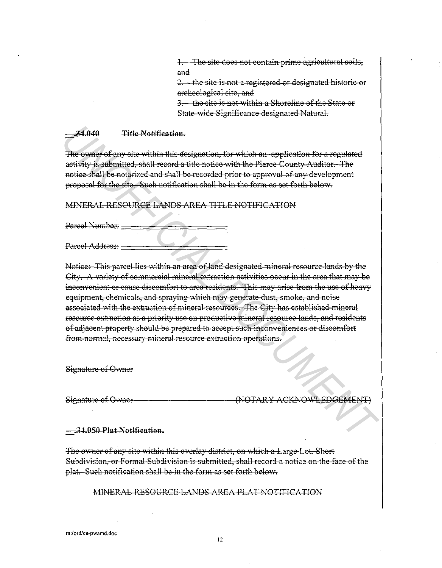1. The site does not contain prime agricultural soils, and

2. the site is not a registered or designated historic or archeological site, and

3. the site is not within a Shoreline of the State or State-wide Significance designated Natural.

#### $-34.040$ Title Notification.

The owner of any site within this designation, for which an-application for a regulated activity is submitted, shall record a title notice with the Pierce County Auditor. The notice shall be notarized and shall be recorded prior to approval of any development proposal for the site. Such notification shall be in the form as set forth below.

MINERAL RESOURCE LANDS AREA TITLE NOTIFICATION

Parcel Number: -

Parcel Address:

Notice: This parcel lies within an area of land designated mineral resource lands by the City. A variety of commercial mineral extraction activities occur in the area that may be inconvenient or cause discomfort to area residents. This may arise from the use of heavy equipment, chemicals, and spraying which may generate dust, smoke, and noise associated with the extraction of mineral resources. The City has established mineral resource extraction as a priority use on productive mineral resource lands, and residents of adjacent property should be prepared to accept such inconveniences or discomfort from normal, necessary mineral resource extraction operations.

Signature of Owner

Signature of Owner-

(NOTARY ACKNOWLEDGEMENT)

#### <del>.34.050 Plat Notification.</del>

The owner of any site within this overlay district, on which a Large Lot, Short Subdivision, or Formal Subdivision is submitted, shall record a notice on the face of the plat. Such notification shall be in the form as set forth below.

## MINERAL RESOURCE LANDS AREA PLAT NOTIFICATION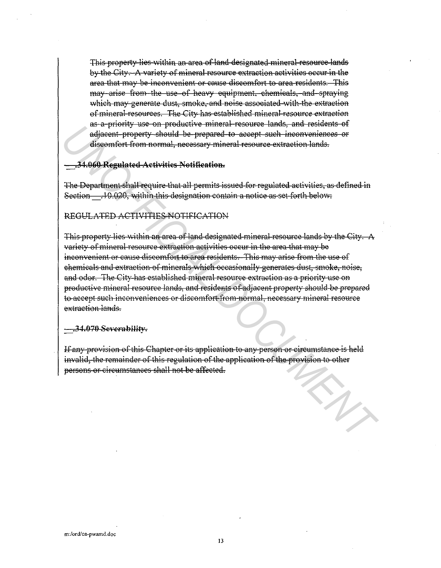This property lies within an area of land designated mineral resource lands by the City. A variety of mineral resource extraction activities occur in the area that may be inconvenient or cause discomfort to area residents. This may arise from the use of heavy equipment, chemicals, and spraying which may generate dust, smoke, and noise associated with the extraction of mineral resources. The City has established mineral resource extraction as a priority use on productive mineral resource lands, and residents of adjacent-property should be prepared to accept such inconveniences or discomfort from normal, necessary mineral resource extraction lands.

### .34.060 Regulated Activities Notification.

The Department shall require that all permits issued for regulated activities, as defined in Section .10.020, within this designation contain a notice as set forth below:

# REGULATED ACTIVITIES NOTIFICATION

This-property lies within an area of land designated-mineral-resource lands by the City. A variety of mineral resource extraction activities occur in the area that may be inconvenient or cause discomfort to area residents. This may arise from the use of chemicals and extraction of minerals which occasionally generates dust, smoke, noise, and odor. The City-has established mineral resource extraction as a priority-use on productive mineral resource lands, and residents of adjacent property should be prepared to accept such inconveniences or discomfort from normal, necessary mineral resource extraction lands.

-34.070 Severability.

If any provision of this Chapter or its application to any person or circumstance is held invalid, the remainder of this regulation of the application of the provision to other persons or circumstances shall not be affected.

SA.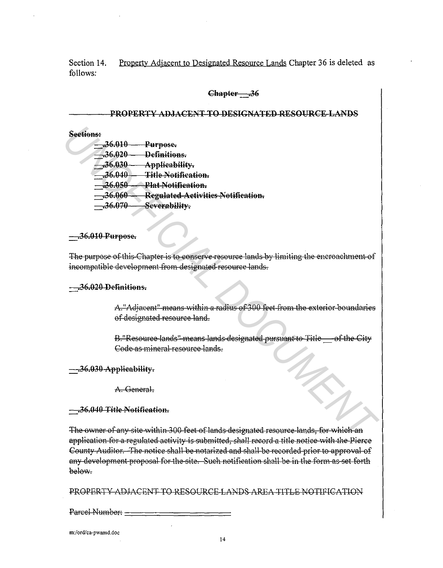Section 14 Property Adjacent to Designated Resource Lands Chapter 36 is deleted as follows:

### Chapter 36

# PROPERTY ADJACENT TO DESIGNATED RESOURCE LANDS

# Sections:

 $-36.010$ Purpose. -36.020 Definitions  $-36.030$ Applicability.  $-36.040-$ Title Notification.  $-36.050$ Plat Notification. Regulated Activities Notification.  $-.36.060 -36.070$ Severability.

#### <del>...36.010 Purpose.</del>

The purpose of this-Chapter is to conserve resource lands by limiting the encroachment of incompatible development from designated resource lands.

#### -36.020 Definitions.

A."Adjacent" means within a radius of 300 feet from the exterior boundaries of designated resource land.

B. "Resource lands" means lands designated pursuant to Title of the City Code as mineral resource lands.

### -36.030 Applicability.

A. General.

### -36.040 Title Notification.

The owner of any site within 300 feet of lands designated resource lands, for which an application for a regulated activity is submitted, shall record a title notice with the Pierce County Auditor. The notice shall be notarized and shall be recorded prior to approval of any development proposal for the site. Such notification shall be in the form as set forth below-

PROPERTY ADJACENT TO RESOURCE LANDS AREA TITLE NOTIFICATION

Parcel Number: -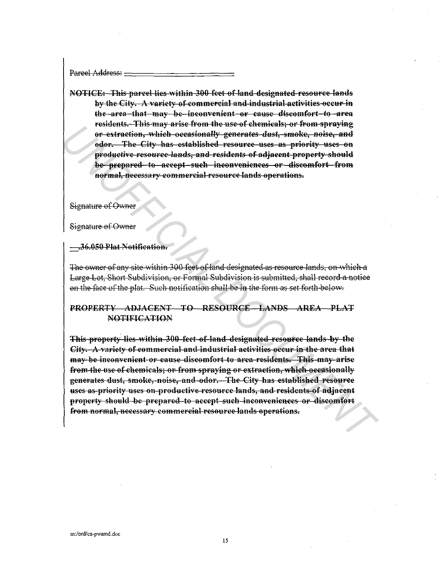Pareel Address:

NOTICE: This parcel lies within 300 feet of land designated resource lands by the City. A variety of commercial and industrial activities occur in the area that may be inconvenient or cause discomfort to area residents. This may arise from the use of chemicals: or from spraying or extraction, which occasionally generates dust, smoke, noise, and odor. The City has established resource-uses as priority uses on productive resource-lands, and residents of adjacent property-should be prepared to accept such inconveniences or discomfort from normal, necessary commercial resource lands operations.

Signature of Owner

Signature of Owner

.36.050 Plat Notification.

The owner of any site within 300 feet of land designated as resource lands, on which a Large Lot, Short Subdivision, or Formal Subdivision is submitted, shall record a notice on the face of the plat. Such notification shall be in the form as set forth-below.

# PROPERTY ADJACENT TO RESOURCE LANDS AREA PLAT **NOTIFICATION**

This-property lies within 300 feet of land designated resource lands by the City. A variety of commercial and industrial activities occur in the area that may be inconvenient or cause discomfort to area-residents. This may arise from the use of chemicals; or from spraying or extraction, which occasionally generates dust, smoke, noise, and odor. The City has established resource uses as-priority uses on productive resource lands, and residents of adjacent property should be prepared to accept such inconveniences or discomfort from normal, necessary commercial resource lands operations.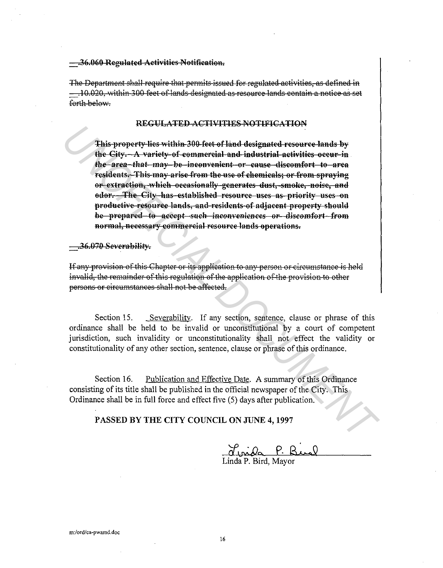#### -36.060 Regulated Activities Notification.

The Department shall require that permits issued for regulated activities, as defined in - 10.020, within 300 feet of lands designated as resource lands contain a notice as set forth helow.

#### REGULATED ACTIVITIES NOTIFICATION

This property lies within 300 feet of land designated resource lands by the City. A variety of commercial and industrial activities occur in the area-that may be inconvenient or cause discomfort to area residents. This may arise from the use of chemicals; or from spraying or extraction, which occasionally generates dust, smoke, noise, and odor. The City has established resource uses as priority uses on productive resource lands, and residents of adjacent property should be prepared to accept such inconveniences or discomfort from normal, necessary commercial resource lands operations.

 $-36.070$  Severability.

If any provision of this Chapter or its application to any person or circumstance is held invalid, the remainder of this regulation of the application of the provision to other persons or circumstances shall not be affected.

Section 15 Severability. If any section, sentence, clause or phrase of this ordinance shall be held to be invalid or unconstitutional by a court of competent jurisdiction, such invalidity or unconstitutionality shall not effect the validity or constitutionality of any other section, sentence, clause or phrase of this ordinance.

Section 16. Publication and Effective Date. A summary of this Ordinance consisting of its title shall be published in the official newspaper of the City. This Ordinance shall be in full force and effect five (5) days after publication.

PASSED BY THE CITY COUNCIL ON JUNE 4, 1997

<u>Jurida P.</u> R.<br>Linda P. Bird, Mayor